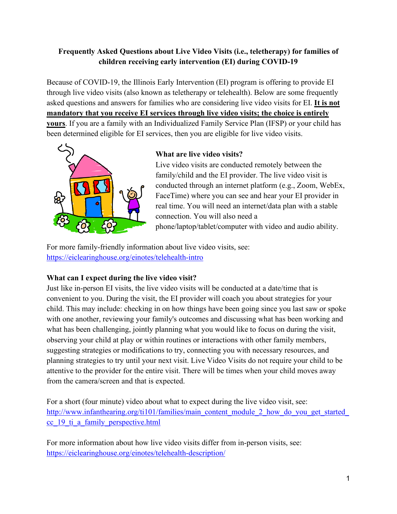# **Frequently Asked Questions about Live Video Visits (i.e., teletherapy) for families of children receiving early intervention (EI) during COVID-19**

Because of COVID-19, the Illinois Early Intervention (EI) program is offering to provide EI through live video visits (also known as teletherapy or telehealth). Below are some frequently asked questions and answers for families who are considering live video visits for EI. **It is not mandatory that you receive EI services through live video visits; the choice is entirely yours**. If you are a family with an Individualized Family Service Plan (IFSP) or your child has been determined eligible for EI services, then you are eligible for live video visits.



### **What are live video visits?**

Live video visits are conducted remotely between the family/child and the EI provider. The live video visit is conducted through an internet platform (e.g., Zoom, WebEx, FaceTime) where you can see and hear your EI provider in real time. You will need an internet/data plan with a stable connection. You will also need a phone/laptop/tablet/computer with video and audio ability.

For more family-friendly information about live video visits, see[:](https://eiclearinghouse.org/einotes/telehealth-intro/) <https://eiclearinghouse.org/einotes/telehealth-intro>

## **What can I expect during the live video visit?**

Just like in-person EI visits, the live video visits will be conducted at a date/time that is convenient to you. During the visit, the EI provider will coach you about strategies for your child. This may include: checking in on how things have been going since you last saw or spoke with one another, reviewing your family's outcomes and discussing what has been working and what has been challenging, jointly planning what you would like to focus on during the visit, observing your child at play or within routines or interactions with other family members, suggesting strategies or modifications to try, connecting you with necessary resources, and planning strategies to try until your next visit. Live Video Visits do not require your child to be attentive to the provider for the entire visit. There will be times when your child moves away from the camera/screen and that is expected.

For a short (four minute) video about what to expect during the live video visit, see: http://www.infanthearing.org/ti101/families/main\_content\_module\_2\_how\_do\_you\_get\_started [cc\\_19\\_ti\\_a\\_family\\_perspective.html](http://www.infanthearing.org/ti101/families/main_content_module_2_how_do_you_get_started_cc_19_ti_a_family_perspective.html)

For more information about how live video visits differ from in-person visits, see[:](https://eiclearinghouse.org/einotes/telehealth-description/) <https://eiclearinghouse.org/einotes/telehealth-description/>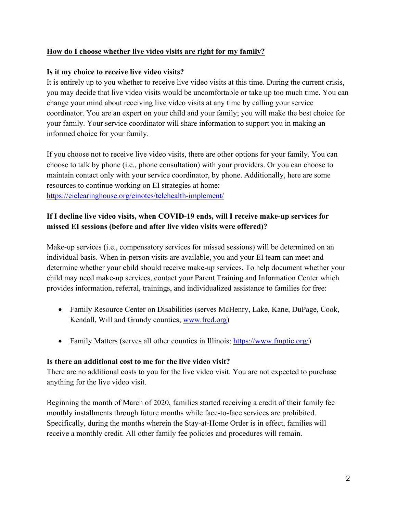### **How do I choose whether live video visits are right for my family?**

#### **Is it my choice to receive live video visits?**

It is entirely up to you whether to receive live video visits at this time. During the current crisis, you may decide that live video visits would be uncomfortable or take up too much time. You can change your mind about receiving live video visits at any time by calling your service coordinator. You are an expert on your child and your family; you will make the best choice for your family. Your service coordinator will share information to support you in making an informed choice for your family.

If you choose not to receive live video visits, there are other options for your family. You can choose to talk by phone (i.e., phone consultation) with your providers. Or you can choose to maintain contact only with your service coordinator, by phone. Additionally, here are some resources to continue working on EI strategies at home: <https://eiclearinghouse.org/einotes/telehealth-implement/>

## **If I decline live video visits, when COVID-19 ends, will I receive make-up services for missed EI sessions (before and after live video visits were offered)?**

Make-up services (i.e., compensatory services for missed sessions) will be determined on an individual basis. When in-person visits are available, you and your EI team can meet and determine whether your child should receive make-up services. To help document whether your child may need make-up services, contact your Parent Training and Information Center which provides information, referral, trainings, and individualized assistance to families for free:

- Family Resource Center on Disabilities (serves McHenry, Lake, Kane, DuPage, Cook, Kendall, Will and Grundy counties; [www.frcd.org\)](http://www.frcd.org/)
- Family Matters (serves all other counties in Illinois; [https://www.fmptic.org/\)](https://www.fmptic.org/)

#### **Is there an additional cost to me for the live video visit?**

There are no additional costs to you for the live video visit. You are not expected to purchase anything for the live video visit.

Beginning the month of March of 2020, families started receiving a credit of their family fee monthly installments through future months while face-to-face services are prohibited. Specifically, during the months wherein the Stay-at-Home Order is in effect, families will receive a monthly credit. All other family fee policies and procedures will remain.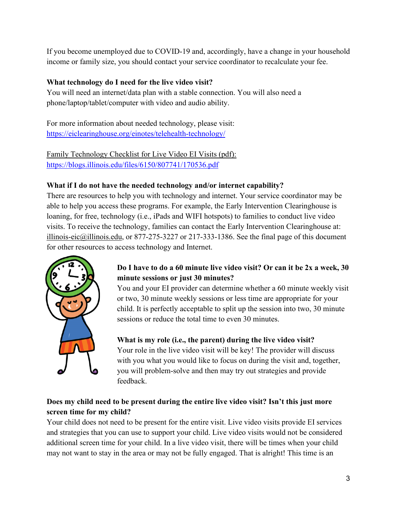If you become unemployed due to COVID-19 and, accordingly, have a change in your household income or family size, you should contact your service coordinator to recalculate your fee.

# **What technology do I need for the live video visit?**

You will need an internet/data plan with a stable connection. You will also need a phone/laptop/tablet/computer with video and audio ability.

For more information about needed technology, please visit: <https://eiclearinghouse.org/einotes/telehealth-technology/>

Family Technology Checklist for Live Video EI Visits (pdf): <https://blogs.illinois.edu/files/6150/807741/170536.pdf>

# **What if I do not have the needed technology and/or internet capability?**

There are resources to help you with technology and internet. Your service coordinator may be able to help you access these programs. For example, the Early Intervention Clearinghouse is loaning, for free, technology (i.e., iPads and WIFI hotspots) to families to conduct live video visits. To receive the technology, families can contact the Early Intervention Clearinghouse at: illinois-eic@illinois.edu, or 877-275-3227 or 217-333-1386. See the final page of this document for other resources to access technology and Internet.



# **Do I have to do a 60 minute live video visit? Or can it be 2x a week, 30 minute sessions or just 30 minutes?**

You and your EI provider can determine whether a 60 minute weekly visit or two, 30 minute weekly sessions or less time are appropriate for your child. It is perfectly acceptable to split up the session into two, 30 minute sessions or reduce the total time to even 30 minutes.

**What is my role (i.e., the parent) during the live video visit?**

Your role in the live video visit will be key! The provider will discuss with you what you would like to focus on during the visit and, together, you will problem-solve and then may try out strategies and provide feedback.

# **Does my child need to be present during the entire live video visit? Isn't this just more screen time for my child?**

Your child does not need to be present for the entire visit. Live video visits provide EI services and strategies that you can use to support your child. Live video visits would not be considered additional screen time for your child. In a live video visit, there will be times when your child may not want to stay in the area or may not be fully engaged. That is alright! This time is an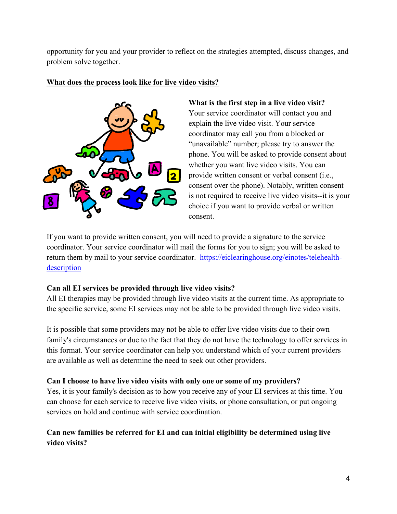opportunity for you and your provider to reflect on the strategies attempted, discuss changes, and problem solve together.



#### **What does the process look like for live video visits?**

**What is the first step in a live video visit?** Your service coordinator will contact you and explain the live video visit. Your service coordinator may call you from a blocked or "unavailable" number; please try to answer the phone. You will be asked to provide consent about whether you want live video visits. You can provide written consent or verbal consent (i.e., consent over the phone). Notably, written consent is not required to receive live video visits--it is your choice if you want to provide verbal or written consent.

If you want to provide written consent, you will need to provide a signature to the service coordinator. Your service coordinator will mail the forms for you to sign; you will be asked to return them by mail to your service coordinator. [https://eiclearinghouse.org/einotes/telehealth](https://eiclearinghouse.org/einotes/telehealth-description)[description](https://eiclearinghouse.org/einotes/telehealth-description)

## **Can all EI services be provided through live video visits?**

All EI therapies may be provided through live video visits at the current time. As appropriate to the specific service, some EI services may not be able to be provided through live video visits.

It is possible that some providers may not be able to offer live video visits due to their own family's circumstances or due to the fact that they do not have the technology to offer services in this format. Your service coordinator can help you understand which of your current providers are available as well as determine the need to seek out other providers.

## **Can I choose to have live video visits with only one or some of my providers?**

Yes, it is your family's decision as to how you receive any of your EI services at this time. You can choose for each service to receive live video visits, or phone consultation, or put ongoing services on hold and continue with service coordination.

# **Can new families be referred for EI and can initial eligibility be determined using live video visits?**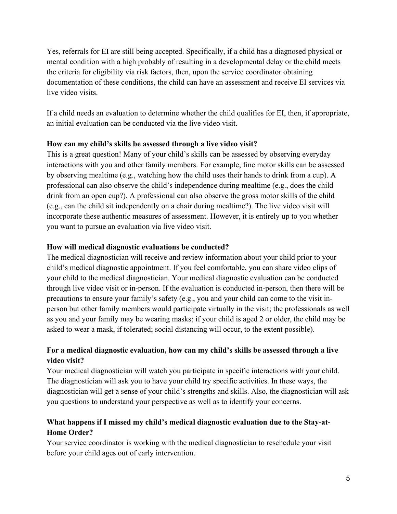Yes, referrals for EI are still being accepted. Specifically, if a child has a diagnosed physical or mental condition with a high probably of resulting in a developmental delay or the child meets the criteria for eligibility via risk factors, then, upon the service coordinator obtaining documentation of these conditions, the child can have an assessment and receive EI services via live video visits.

If a child needs an evaluation to determine whether the child qualifies for EI, then, if appropriate, an initial evaluation can be conducted via the live video visit.

### **How can my child's skills be assessed through a live video visit?**

This is a great question! Many of your child's skills can be assessed by observing everyday interactions with you and other family members. For example, fine motor skills can be assessed by observing mealtime (e.g., watching how the child uses their hands to drink from a cup). A professional can also observe the child's independence during mealtime (e.g., does the child drink from an open cup?). A professional can also observe the gross motor skills of the child (e.g., can the child sit independently on a chair during mealtime?). The live video visit will incorporate these authentic measures of assessment. However, it is entirely up to you whether you want to pursue an evaluation via live video visit.

### **How will medical diagnostic evaluations be conducted?**

The medical diagnostician will receive and review information about your child prior to your child's medical diagnostic appointment. If you feel comfortable, you can share video clips of your child to the medical diagnostician. Your medical diagnostic evaluation can be conducted through live video visit or in-person. If the evaluation is conducted in-person, then there will be precautions to ensure your family's safety (e.g., you and your child can come to the visit inperson but other family members would participate virtually in the visit; the professionals as well as you and your family may be wearing masks; if your child is aged 2 or older, the child may be asked to wear a mask, if tolerated; social distancing will occur, to the extent possible).

# **For a medical diagnostic evaluation, how can my child's skills be assessed through a live video visit?**

Your medical diagnostician will watch you participate in specific interactions with your child. The diagnostician will ask you to have your child try specific activities. In these ways, the diagnostician will get a sense of your child's strengths and skills. Also, the diagnostician will ask you questions to understand your perspective as well as to identify your concerns.

# **What happens if I missed my child's medical diagnostic evaluation due to the Stay-at-Home Order?**

Your service coordinator is working with the medical diagnostician to reschedule your visit before your child ages out of early intervention.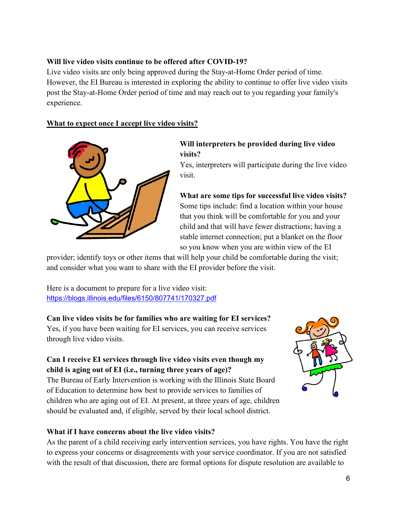#### **Will live video visits continue to be offered after COVID-19?**

Live video visits are only being approved during the Stay-at-Home Order period of time. However, the EI Bureau is interested in exploring the ability to continue to offer live video visits post the Stay-at-Home Order period of time and may reach out to you regarding your family's experience.

### **What to expect once I accept live video visits?**



### **Will interpreters be provided during live video visits?**

Yes, interpreters will participate during the live video visit.

**What are some tips for successful live video visits?** Some tips include: find a location within your house that you think will be comfortable for you and your child and that will have fewer distractions; having a stable internet connection; put a blanket on the floor so you know when you are within view of the EI

provider; identify toys or other items that will help your child be comfortable during the visit; and consider what you want to share with the EI provider before the visit.

Here is a document to prepare for a live video visit: <https://blogs.illinois.edu/files/6150/807741/170327.pdf>

#### **Can live video visits be for families who are waiting for EI services?**

Yes, if you have been waiting for EI services, you can receive services through live video visits.

## **Can I receive EI services through live video visits even though my child is aging out of EI (i.e., turning three years of age)?**

The Bureau of Early Intervention is working with the Illinois State Board of Education to determine how best to provide services to families of children who are aging out of EI. At present, at three years of age, children should be evaluated and, if eligible, served by their local school district.



## **What if I have concerns about the live video visits?**

As the parent of a child receiving early intervention services, you have rights. You have the right to express your concerns or disagreements with your service coordinator. If you are not satisfied with the result of that discussion, there are formal options for dispute resolution are available to